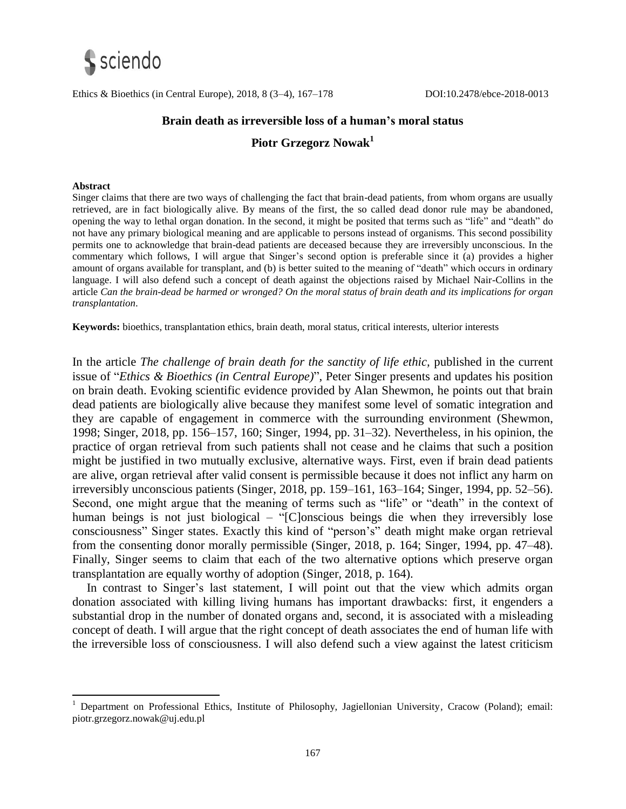

Ethics & Bioethics (in Central Europe), 2018, 8 (3–4), 167–178 DOI:10.2478/ebce-2018-0013

### **Brain death as irreversible loss of a human's moral status**

## **Piotr Grzegorz Nowak<sup>1</sup>**

#### **Abstract**

 $\overline{a}$ 

Singer claims that there are two ways of challenging the fact that brain-dead patients, from whom organs are usually retrieved, are in fact biologically alive. By means of the first, the so called dead donor rule may be abandoned, opening the way to lethal organ donation. In the second, it might be posited that terms such as "life" and "death" do not have any primary biological meaning and are applicable to persons instead of organisms. This second possibility permits one to acknowledge that brain-dead patients are deceased because they are irreversibly unconscious. In the commentary which follows, I will argue that Singer's second option is preferable since it (a) provides a higher amount of organs available for transplant, and (b) is better suited to the meaning of "death" which occurs in ordinary language. I will also defend such a concept of death against the objections raised by Michael Nair-Collins in the article *Can the brain-dead be harmed or wronged? On the moral status of brain death and its implications for organ transplantation*.

**Keywords:** bioethics, transplantation ethics, brain death, moral status, critical interests, ulterior interests

In the article *The challenge of brain death for the sanctity of life ethic,* published in the current issue of "*Ethics & Bioethics (in Central Europe)*", Peter Singer presents and updates his position on brain death. Evoking scientific evidence provided by Alan Shewmon, he points out that brain dead patients are biologically alive because they manifest some level of somatic integration and they are capable of engagement in commerce with the surrounding environment (Shewmon, 1998; Singer, 2018, pp. 156–157, 160; Singer, 1994, pp. 31–32). Nevertheless, in his opinion, the practice of organ retrieval from such patients shall not cease and he claims that such a position might be justified in two mutually exclusive, alternative ways. First, even if brain dead patients are alive, organ retrieval after valid consent is permissible because it does not inflict any harm on irreversibly unconscious patients (Singer, 2018, pp. 159–161, 163–164; Singer, 1994, pp. 52–56). Second, one might argue that the meaning of terms such as "life" or "death" in the context of human beings is not just biological – "[C]onscious beings die when they irreversibly lose consciousness" Singer states. Exactly this kind of "person's" death might make organ retrieval from the consenting donor morally permissible (Singer, 2018, p. 164; Singer, 1994, pp. 47–48). Finally, Singer seems to claim that each of the two alternative options which preserve organ transplantation are equally worthy of adoption (Singer, 2018, p. 164).

In contrast to Singer's last statement, I will point out that the view which admits organ donation associated with killing living humans has important drawbacks: first, it engenders a substantial drop in the number of donated organs and, second, it is associated with a misleading concept of death. I will argue that the right concept of death associates the end of human life with the irreversible loss of consciousness. I will also defend such a view against the latest criticism

<sup>1</sup> Department on Professional Ethics, Institute of Philosophy, Jagiellonian University, Cracow (Poland); email: piotr.grzegorz.nowak@uj.edu.pl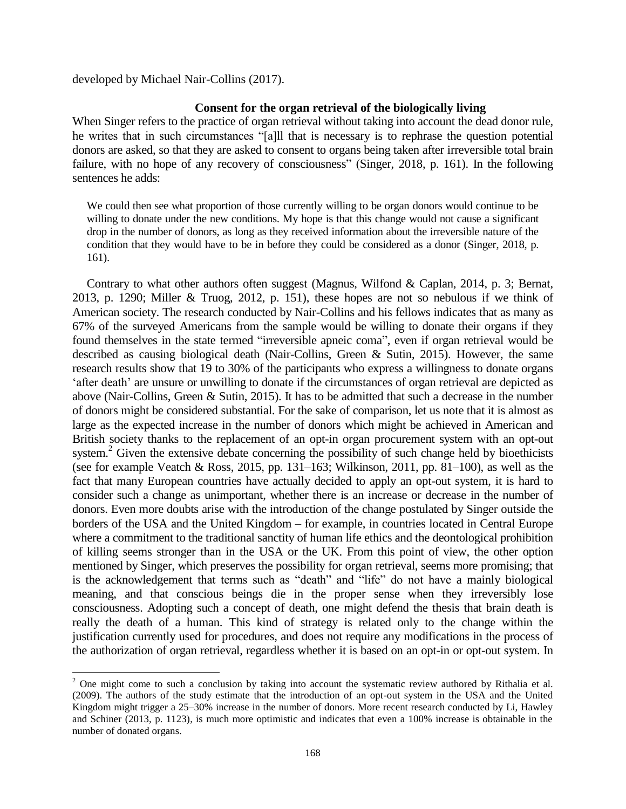developed by Michael Nair-Collins (2017).

 $\ddot{\phantom{a}}$ 

#### **Consent for the organ retrieval of the biologically living**

When Singer refers to the practice of organ retrieval without taking into account the dead donor rule, he writes that in such circumstances "[a]ll that is necessary is to rephrase the question potential donors are asked, so that they are asked to consent to organs being taken after irreversible total brain failure, with no hope of any recovery of consciousness" (Singer, 2018, p. 161). In the following sentences he adds:

We could then see what proportion of those currently willing to be organ donors would continue to be willing to donate under the new conditions. My hope is that this change would not cause a significant drop in the number of donors, as long as they received information about the irreversible nature of the condition that they would have to be in before they could be considered as a donor (Singer, 2018, p. 161).

Contrary to what other authors often suggest (Magnus, Wilfond & Caplan, 2014, p. 3; Bernat, 2013, p. 1290; Miller & Truog, 2012, p. 151), these hopes are not so nebulous if we think of American society. The research conducted by Nair-Collins and his fellows indicates that as many as 67% of the surveyed Americans from the sample would be willing to donate their organs if they found themselves in the state termed "irreversible apneic coma", even if organ retrieval would be described as causing biological death (Nair-Collins, Green & Sutin, 2015). However, the same research results show that 19 to 30% of the participants who express a willingness to donate organs 'after death' are unsure or unwilling to donate if the circumstances of organ retrieval are depicted as above (Nair-Collins, Green & Sutin, 2015). It has to be admitted that such a decrease in the number of donors might be considered substantial. For the sake of comparison, let us note that it is almost as large as the expected increase in the number of donors which might be achieved in American and British society thanks to the replacement of an opt-in organ procurement system with an opt-out system.<sup>2</sup> Given the extensive debate concerning the possibility of such change held by bioethicists (see for example Veatch & Ross, 2015, pp. 131–163; Wilkinson, 2011, pp. 81–100), as well as the fact that many European countries have actually decided to apply an opt-out system, it is hard to consider such a change as unimportant, whether there is an increase or decrease in the number of donors. Even more doubts arise with the introduction of the change postulated by Singer outside the borders of the USA and the United Kingdom – for example, in countries located in Central Europe where a commitment to the traditional sanctity of human life ethics and the deontological prohibition of killing seems stronger than in the USA or the UK. From this point of view, the other option mentioned by Singer, which preserves the possibility for organ retrieval, seems more promising; that is the acknowledgement that terms such as "death" and "life" do not have a mainly biological meaning, and that conscious beings die in the proper sense when they irreversibly lose consciousness. Adopting such a concept of death, one might defend the thesis that brain death is really the death of a human. This kind of strategy is related only to the change within the justification currently used for procedures, and does not require any modifications in the process of the authorization of organ retrieval, regardless whether it is based on an opt-in or opt-out system. In

 $2$  One might come to such a conclusion by taking into account the systematic review authored by Rithalia et al. (2009). The authors of the study estimate that the introduction of an opt-out system in the USA and the United Kingdom might trigger a 25–30% increase in the number of donors. More recent research conducted by Li, Hawley and Schiner (2013, p. 1123), is much more optimistic and indicates that even a 100% increase is obtainable in the number of donated organs.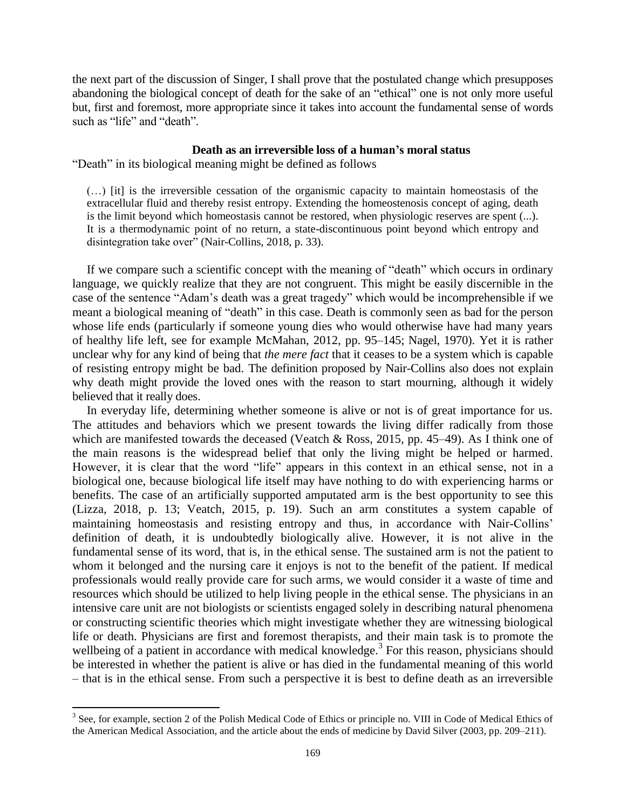the next part of the discussion of Singer, I shall prove that the postulated change which presupposes abandoning the biological concept of death for the sake of an "ethical" one is not only more useful but, first and foremost, more appropriate since it takes into account the fundamental sense of words such as "life" and "death".

### **Death as an irreversible loss of a human's moral status**

"Death" in its biological meaning might be defined as follows

(…) [it] is the irreversible cessation of the organismic capacity to maintain homeostasis of the extracellular fluid and thereby resist entropy. Extending the homeostenosis concept of aging, death is the limit beyond which homeostasis cannot be restored, when physiologic reserves are spent (...). It is a thermodynamic point of no return, a state-discontinuous point beyond which entropy and disintegration take over" (Nair-Collins, 2018, p. 33).

If we compare such a scientific concept with the meaning of "death" which occurs in ordinary language, we quickly realize that they are not congruent. This might be easily discernible in the case of the sentence "Adam's death was a great tragedy" which would be incomprehensible if we meant a biological meaning of "death" in this case. Death is commonly seen as bad for the person whose life ends (particularly if someone young dies who would otherwise have had many years of healthy life left, see for example McMahan, 2012, pp. 95–145; Nagel, 1970). Yet it is rather unclear why for any kind of being that *the mere fact* that it ceases to be a system which is capable of resisting entropy might be bad. The definition proposed by Nair-Collins also does not explain why death might provide the loved ones with the reason to start mourning, although it widely believed that it really does.

In everyday life, determining whether someone is alive or not is of great importance for us. The attitudes and behaviors which we present towards the living differ radically from those which are manifested towards the deceased (Veatch  $\&$  Ross, 2015, pp. 45–49). As I think one of the main reasons is the widespread belief that only the living might be helped or harmed. However, it is clear that the word "life" appears in this context in an ethical sense, not in a biological one, because biological life itself may have nothing to do with experiencing harms or benefits. The case of an artificially supported amputated arm is the best opportunity to see this (Lizza, 2018, p. 13; Veatch, 2015, p. 19). Such an arm constitutes a system capable of maintaining homeostasis and resisting entropy and thus, in accordance with Nair-Collins' definition of death, it is undoubtedly biologically alive. However, it is not alive in the fundamental sense of its word, that is, in the ethical sense. The sustained arm is not the patient to whom it belonged and the nursing care it enjoys is not to the benefit of the patient. If medical professionals would really provide care for such arms, we would consider it a waste of time and resources which should be utilized to help living people in the ethical sense. The physicians in an intensive care unit are not biologists or scientists engaged solely in describing natural phenomena or constructing scientific theories which might investigate whether they are witnessing biological life or death. Physicians are first and foremost therapists, and their main task is to promote the wellbeing of a patient in accordance with medical knowledge.<sup>3</sup> For this reason, physicians should be interested in whether the patient is alive or has died in the fundamental meaning of this world – that is in the ethical sense. From such a perspective it is best to define death as an irreversible

<sup>&</sup>lt;sup>3</sup> See, for example, section 2 of the Polish Medical Code of Ethics or principle no. VIII in Code of Medical Ethics of the American Medical Association, and the article about the ends of medicine by David Silver (2003, pp. 209–211).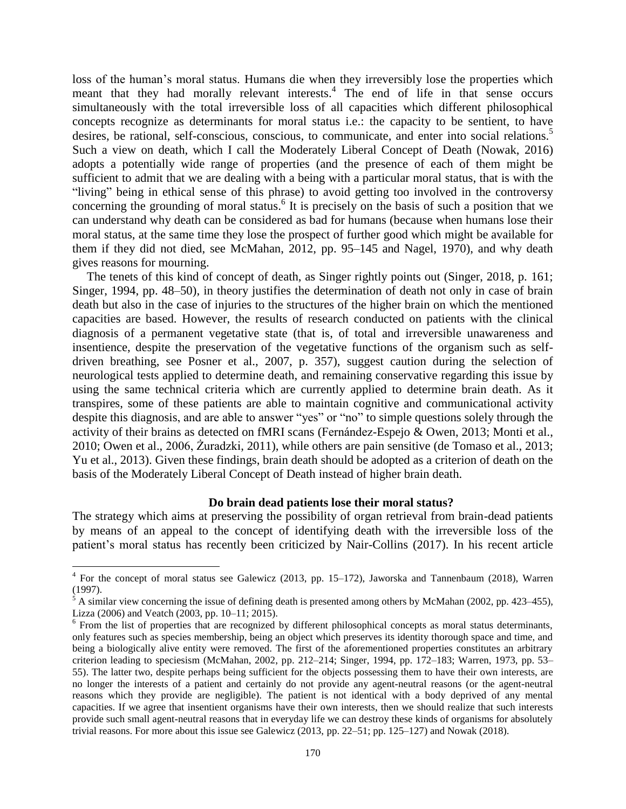loss of the human's moral status. Humans die when they irreversibly lose the properties which meant that they had morally relevant interests. 4 The end of life in that sense occurs simultaneously with the total irreversible loss of all capacities which different philosophical concepts recognize as determinants for moral status i.e.: the capacity to be sentient, to have desires, be rational, self-conscious, conscious, to communicate, and enter into social relations. 5 Such a view on death, which I call the Moderately Liberal Concept of Death (Nowak, 2016) adopts a potentially wide range of properties (and the presence of each of them might be sufficient to admit that we are dealing with a being with a particular moral status, that is with the "living" being in ethical sense of this phrase) to avoid getting too involved in the controversy concerning the grounding of moral status.<sup>6</sup> It is precisely on the basis of such a position that we can understand why death can be considered as bad for humans (because when humans lose their moral status, at the same time they lose the prospect of further good which might be available for them if they did not died, see McMahan, 2012, pp. 95–145 and Nagel, 1970), and why death gives reasons for mourning.

The tenets of this kind of concept of death, as Singer rightly points out (Singer, 2018, p. 161; Singer, 1994, pp. 48–50), in theory justifies the determination of death not only in case of brain death but also in the case of injuries to the structures of the higher brain on which the mentioned capacities are based. However, the results of research conducted on patients with the clinical diagnosis of a permanent vegetative state (that is, of total and irreversible unawareness and insentience, despite the preservation of the vegetative functions of the organism such as selfdriven breathing, see Posner et al., 2007, p. 357), suggest caution during the selection of neurological tests applied to determine death, and remaining conservative regarding this issue by using the same technical criteria which are currently applied to determine brain death. As it transpires, some of these patients are able to maintain cognitive and communicational activity despite this diagnosis, and are able to answer "yes" or "no" to simple questions solely through the activity of their brains as detected on fMRI scans (Fernández-Espejo & Owen, 2013; Monti et al., 2010; Owen et al., 2006, Żuradzki, 2011), while others are pain sensitive (de Tomaso et al., 2013; Yu et al., 2013). Given these findings, brain death should be adopted as a criterion of death on the basis of the Moderately Liberal Concept of Death instead of higher brain death.

### **Do brain dead patients lose their moral status?**

The strategy which aims at preserving the possibility of organ retrieval from brain-dead patients by means of an appeal to the concept of identifying death with the irreversible loss of the patient's moral status has recently been criticized by Nair-Collins (2017). In his recent article

 $\overline{a}$ 

<sup>&</sup>lt;sup>4</sup> For the concept of moral status see Galewicz (2013, pp. 15–172), Jaworska and Tannenbaum (2018), Warren (1997).

 $5$  A similar view concerning the issue of defining death is presented among others by McMahan (2002, pp. 423–455), Lizza (2006) and Veatch (2003, pp. 10–11; 2015).

<sup>&</sup>lt;sup>6</sup> From the list of properties that are recognized by different philosophical concepts as moral status determinants, only features such as species membership, being an object which preserves its identity thorough space and time, and being a biologically alive entity were removed. The first of the aforementioned properties constitutes an arbitrary criterion leading to speciesism (McMahan, 2002, pp. 212–214; Singer, 1994, pp. 172–183; Warren, 1973, pp. 53– 55). The latter two, despite perhaps being sufficient for the objects possessing them to have their own interests, are no longer the interests of a patient and certainly do not provide any agent-neutral reasons (or the agent-neutral reasons which they provide are negligible). The patient is not identical with a body deprived of any mental capacities. If we agree that insentient organisms have their own interests, then we should realize that such interests provide such small agent-neutral reasons that in everyday life we can destroy these kinds of organisms for absolutely trivial reasons. For more about this issue see Galewicz (2013, pp. 22–51; pp. 125–127) and Nowak (2018).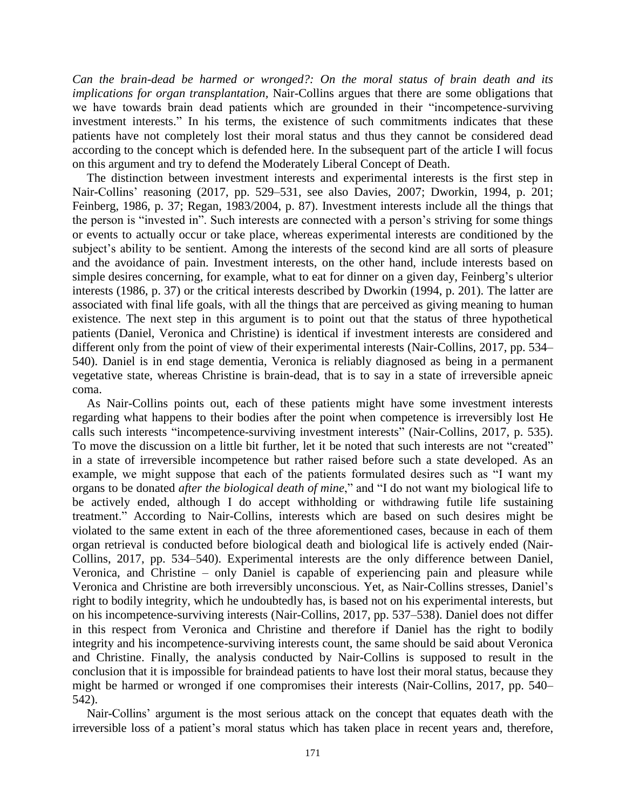*Can the brain-dead be harmed or wronged?: On the moral status of brain death and its implications for organ transplantation,* Nair-Collins argues that there are some obligations that we have towards brain dead patients which are grounded in their "incompetence-surviving investment interests." In his terms, the existence of such commitments indicates that these patients have not completely lost their moral status and thus they cannot be considered dead according to the concept which is defended here. In the subsequent part of the article I will focus on this argument and try to defend the Moderately Liberal Concept of Death.

The distinction between investment interests and experimental interests is the first step in Nair-Collins' reasoning (2017, pp. 529–531, see also Davies, 2007; Dworkin, 1994, p. 201; Feinberg, 1986, p. 37; Regan, 1983/2004, p. 87). Investment interests include all the things that the person is "invested in". Such interests are connected with a person's striving for some things or events to actually occur or take place, whereas experimental interests are conditioned by the subject's ability to be sentient. Among the interests of the second kind are all sorts of pleasure and the avoidance of pain. Investment interests, on the other hand, include interests based on simple desires concerning, for example, what to eat for dinner on a given day, Feinberg's ulterior interests (1986, p. 37) or the critical interests described by Dworkin (1994, p. 201). The latter are associated with final life goals, with all the things that are perceived as giving meaning to human existence. The next step in this argument is to point out that the status of three hypothetical patients (Daniel, Veronica and Christine) is identical if investment interests are considered and different only from the point of view of their experimental interests (Nair-Collins, 2017, pp. 534– 540). Daniel is in end stage dementia, Veronica is reliably diagnosed as being in a permanent vegetative state, whereas Christine is brain-dead, that is to say in a state of irreversible apneic coma.

As Nair-Collins points out, each of these patients might have some investment interests regarding what happens to their bodies after the point when competence is irreversibly lost He calls such interests "incompetence-surviving investment interests" (Nair-Collins, 2017, p. 535). To move the discussion on a little bit further, let it be noted that such interests are not "created" in a state of irreversible incompetence but rather raised before such a state developed. As an example, we might suppose that each of the patients formulated desires such as "I want my organs to be donated *after the biological death of mine*," and "I do not want my biological life to be actively ended, although I do accept withholding or withdrawing futile life sustaining treatment." According to Nair-Collins, interests which are based on such desires might be violated to the same extent in each of the three aforementioned cases, because in each of them organ retrieval is conducted before biological death and biological life is actively ended (Nair-Collins, 2017, pp. 534–540). Experimental interests are the only difference between Daniel, Veronica, and Christine – only Daniel is capable of experiencing pain and pleasure while Veronica and Christine are both irreversibly unconscious. Yet, as Nair-Collins stresses, Daniel's right to bodily integrity, which he undoubtedly has, is based not on his experimental interests, but on his incompetence-surviving interests (Nair-Collins, 2017, pp. 537–538). Daniel does not differ in this respect from Veronica and Christine and therefore if Daniel has the right to bodily integrity and his incompetence-surviving interests count, the same should be said about Veronica and Christine. Finally, the analysis conducted by Nair-Collins is supposed to result in the conclusion that it is impossible for braindead patients to have lost their moral status, because they might be harmed or wronged if one compromises their interests (Nair-Collins, 2017, pp. 540– 542).

Nair-Collins' argument is the most serious attack on the concept that equates death with the irreversible loss of a patient's moral status which has taken place in recent years and, therefore,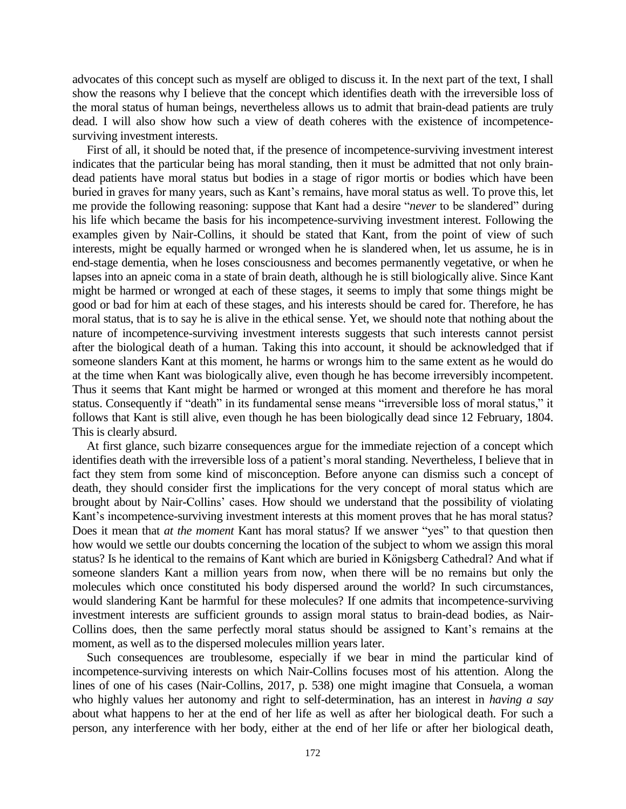advocates of this concept such as myself are obliged to discuss it. In the next part of the text, I shall show the reasons why I believe that the concept which identifies death with the irreversible loss of the moral status of human beings, nevertheless allows us to admit that brain-dead patients are truly dead. I will also show how such a view of death coheres with the existence of incompetencesurviving investment interests.

First of all, it should be noted that, if the presence of incompetence-surviving investment interest indicates that the particular being has moral standing, then it must be admitted that not only braindead patients have moral status but bodies in a stage of rigor mortis or bodies which have been buried in graves for many years, such as Kant's remains, have moral status as well. To prove this, let me provide the following reasoning: suppose that Kant had a desire "*never* to be slandered" during his life which became the basis for his incompetence-surviving investment interest. Following the examples given by Nair-Collins, it should be stated that Kant, from the point of view of such interests, might be equally harmed or wronged when he is slandered when, let us assume, he is in end-stage dementia, when he loses consciousness and becomes permanently vegetative, or when he lapses into an apneic coma in a state of brain death, although he is still biologically alive. Since Kant might be harmed or wronged at each of these stages, it seems to imply that some things might be good or bad for him at each of these stages, and his interests should be cared for. Therefore, he has moral status, that is to say he is alive in the ethical sense. Yet, we should note that nothing about the nature of incompetence-surviving investment interests suggests that such interests cannot persist after the biological death of a human. Taking this into account, it should be acknowledged that if someone slanders Kant at this moment, he harms or wrongs him to the same extent as he would do at the time when Kant was biologically alive, even though he has become irreversibly incompetent. Thus it seems that Kant might be harmed or wronged at this moment and therefore he has moral status. Consequently if "death" in its fundamental sense means "irreversible loss of moral status," it follows that Kant is still alive, even though he has been biologically dead since 12 February, 1804. This is clearly absurd.

At first glance, such bizarre consequences argue for the immediate rejection of a concept which identifies death with the irreversible loss of a patient's moral standing. Nevertheless, I believe that in fact they stem from some kind of misconception. Before anyone can dismiss such a concept of death, they should consider first the implications for the very concept of moral status which are brought about by Nair-Collins' cases. How should we understand that the possibility of violating Kant's incompetence-surviving investment interests at this moment proves that he has moral status? Does it mean that *at the moment* Kant has moral status? If we answer "yes" to that question then how would we settle our doubts concerning the location of the subject to whom we assign this moral status? Is he identical to the remains of Kant which are buried in Königsberg Cathedral? And what if someone slanders Kant a million years from now, when there will be no remains but only the molecules which once constituted his body dispersed around the world? In such circumstances, would slandering Kant be harmful for these molecules? If one admits that incompetence-surviving investment interests are sufficient grounds to assign moral status to brain-dead bodies, as Nair-Collins does, then the same perfectly moral status should be assigned to Kant's remains at the moment, as well as to the dispersed molecules million years later.

Such consequences are troublesome, especially if we bear in mind the particular kind of incompetence-surviving interests on which Nair-Collins focuses most of his attention. Along the lines of one of his cases (Nair-Collins, 2017, p. 538) one might imagine that Consuela, a woman who highly values her autonomy and right to self-determination, has an interest in *having a say* about what happens to her at the end of her life as well as after her biological death. For such a person, any interference with her body, either at the end of her life or after her biological death,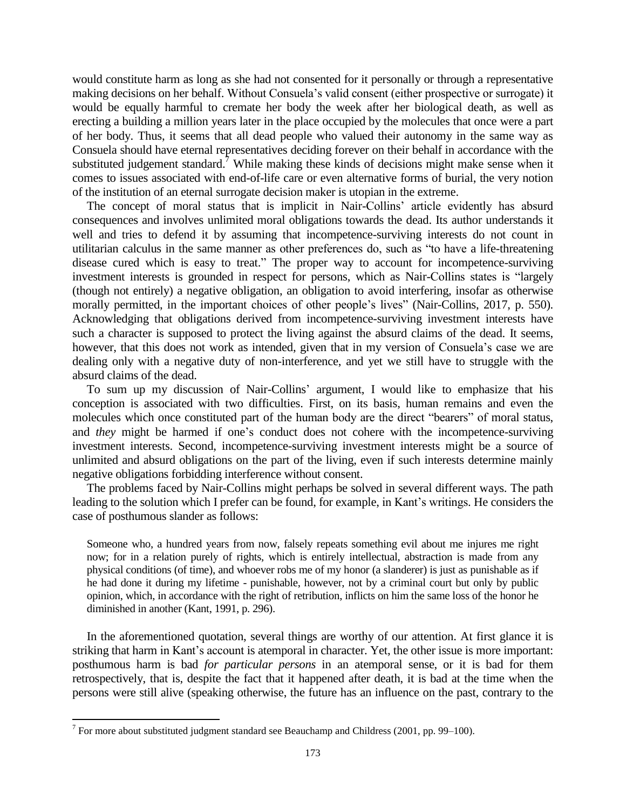would constitute harm as long as she had not consented for it personally or through a representative making decisions on her behalf. Without Consuela's valid consent (either prospective or surrogate) it would be equally harmful to cremate her body the week after her biological death, as well as erecting a building a million years later in the place occupied by the molecules that once were a part of her body. Thus, it seems that all dead people who valued their autonomy in the same way as Consuela should have eternal representatives deciding forever on their behalf in accordance with the substituted judgement standard.<sup>7</sup> While making these kinds of decisions might make sense when it comes to issues associated with end-of-life care or even alternative forms of burial, the very notion of the institution of an eternal surrogate decision maker is utopian in the extreme.

The concept of moral status that is implicit in Nair-Collins' article evidently has absurd consequences and involves unlimited moral obligations towards the dead. Its author understands it well and tries to defend it by assuming that incompetence-surviving interests do not count in utilitarian calculus in the same manner as other preferences do, such as "to have a life-threatening disease cured which is easy to treat." The proper way to account for incompetence-surviving investment interests is grounded in respect for persons, which as Nair-Collins states is "largely (though not entirely) a negative obligation, an obligation to avoid interfering, insofar as otherwise morally permitted, in the important choices of other people's lives" (Nair-Collins, 2017, p. 550). Acknowledging that obligations derived from incompetence-surviving investment interests have such a character is supposed to protect the living against the absurd claims of the dead. It seems, however, that this does not work as intended, given that in my version of Consuela's case we are dealing only with a negative duty of non-interference, and yet we still have to struggle with the absurd claims of the dead.

To sum up my discussion of Nair-Collins' argument, I would like to emphasize that his conception is associated with two difficulties. First, on its basis, human remains and even the molecules which once constituted part of the human body are the direct "bearers" of moral status, and *they* might be harmed if one's conduct does not cohere with the incompetence-surviving investment interests. Second, incompetence-surviving investment interests might be a source of unlimited and absurd obligations on the part of the living, even if such interests determine mainly negative obligations forbidding interference without consent.

The problems faced by Nair-Collins might perhaps be solved in several different ways. The path leading to the solution which I prefer can be found, for example, in Kant's writings. He considers the case of posthumous slander as follows:

Someone who, a hundred years from now, falsely repeats something evil about me injures me right now; for in a relation purely of rights, which is entirely intellectual, abstraction is made from any physical conditions (of time), and whoever robs me of my honor (a slanderer) is just as punishable as if he had done it during my lifetime - punishable, however, not by a criminal court but only by public opinion, which, in accordance with the right of retribution, inflicts on him the same loss of the honor he diminished in another (Kant, 1991, p. 296).

In the aforementioned quotation, several things are worthy of our attention. At first glance it is striking that harm in Kant's account is atemporal in character. Yet, the other issue is more important: posthumous harm is bad *for particular persons* in an atemporal sense, or it is bad for them retrospectively, that is, despite the fact that it happened after death, it is bad at the time when the persons were still alive (speaking otherwise, the future has an influence on the past, contrary to the

<sup>&</sup>lt;sup>7</sup> For more about substituted judgment standard see Beauchamp and Childress (2001, pp. 99–100).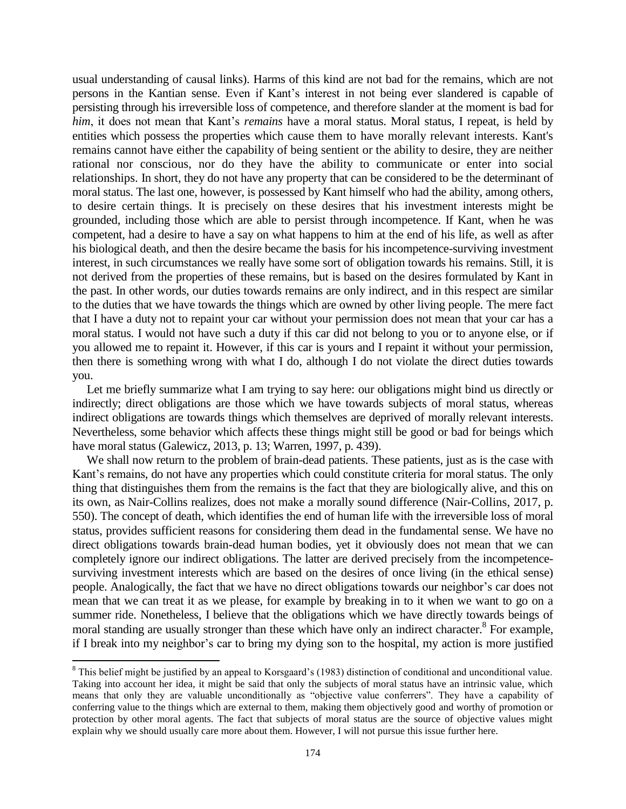usual understanding of causal links). Harms of this kind are not bad for the remains, which are not persons in the Kantian sense. Even if Kant's interest in not being ever slandered is capable of persisting through his irreversible loss of competence, and therefore slander at the moment is bad for *him*, it does not mean that Kant's *remains* have a moral status. Moral status, I repeat, is held by entities which possess the properties which cause them to have morally relevant interests. Kant's remains cannot have either the capability of being sentient or the ability to desire, they are neither rational nor conscious, nor do they have the ability to communicate or enter into social relationships. In short, they do not have any property that can be considered to be the determinant of moral status. The last one, however, is possessed by Kant himself who had the ability, among others, to desire certain things. It is precisely on these desires that his investment interests might be grounded, including those which are able to persist through incompetence. If Kant, when he was competent, had a desire to have a say on what happens to him at the end of his life, as well as after his biological death, and then the desire became the basis for his incompetence-surviving investment interest, in such circumstances we really have some sort of obligation towards his remains. Still, it is not derived from the properties of these remains, but is based on the desires formulated by Kant in the past. In other words, our duties towards remains are only indirect, and in this respect are similar to the duties that we have towards the things which are owned by other living people. The mere fact that I have a duty not to repaint your car without your permission does not mean that your car has a moral status. I would not have such a duty if this car did not belong to you or to anyone else, or if you allowed me to repaint it. However, if this car is yours and I repaint it without your permission, then there is something wrong with what I do, although I do not violate the direct duties towards you.

Let me briefly summarize what I am trying to say here: our obligations might bind us directly or indirectly; direct obligations are those which we have towards subjects of moral status, whereas indirect obligations are towards things which themselves are deprived of morally relevant interests. Nevertheless, some behavior which affects these things might still be good or bad for beings which have moral status (Galewicz, 2013, p. 13; Warren, 1997, p. 439).

We shall now return to the problem of brain-dead patients. These patients, just as is the case with Kant's remains, do not have any properties which could constitute criteria for moral status. The only thing that distinguishes them from the remains is the fact that they are biologically alive, and this on its own, as Nair-Collins realizes, does not make a morally sound difference (Nair-Collins, 2017, p. 550). The concept of death, which identifies the end of human life with the irreversible loss of moral status, provides sufficient reasons for considering them dead in the fundamental sense. We have no direct obligations towards brain-dead human bodies, yet it obviously does not mean that we can completely ignore our indirect obligations. The latter are derived precisely from the incompetencesurviving investment interests which are based on the desires of once living (in the ethical sense) people. Analogically, the fact that we have no direct obligations towards our neighbor's car does not mean that we can treat it as we please, for example by breaking in to it when we want to go on a summer ride. Nonetheless, I believe that the obligations which we have directly towards beings of moral standing are usually stronger than these which have only an indirect character.<sup>8</sup> For example, if I break into my neighbor's car to bring my dying son to the hospital, my action is more justified

 $\overline{a}$ 

<sup>&</sup>lt;sup>8</sup> This belief might be justified by an appeal to Korsgaard's (1983) distinction of conditional and unconditional value. Taking into account her idea, it might be said that only the subjects of moral status have an intrinsic value, which means that only they are valuable unconditionally as "objective value conferrers". They have a capability of conferring value to the things which are external to them, making them objectively good and worthy of promotion or protection by other moral agents. The fact that subjects of moral status are the source of objective values might explain why we should usually care more about them. However, I will not pursue this issue further here.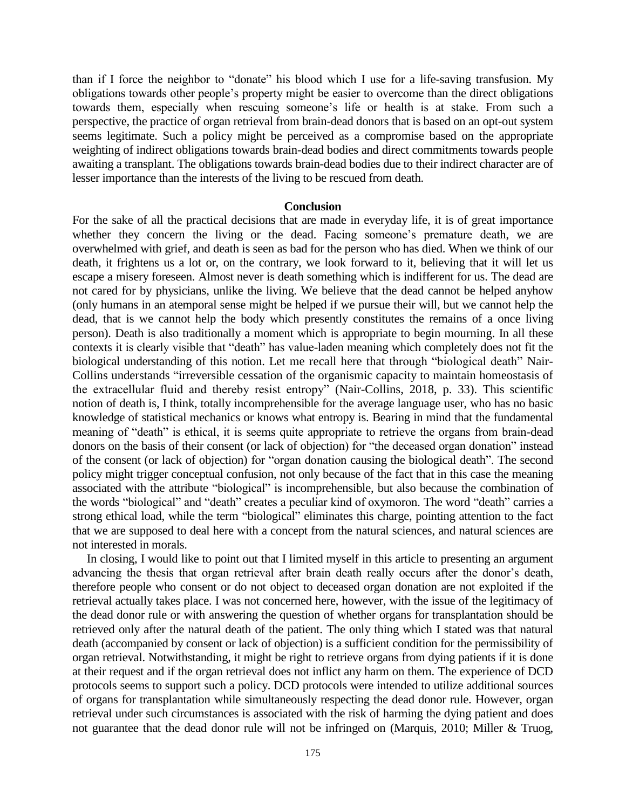than if I force the neighbor to "donate" his blood which I use for a life-saving transfusion. My obligations towards other people's property might be easier to overcome than the direct obligations towards them, especially when rescuing someone's life or health is at stake. From such a perspective, the practice of organ retrieval from brain-dead donors that is based on an opt-out system seems legitimate. Such a policy might be perceived as a compromise based on the appropriate weighting of indirect obligations towards brain-dead bodies and direct commitments towards people awaiting a transplant. The obligations towards brain-dead bodies due to their indirect character are of lesser importance than the interests of the living to be rescued from death.

#### **Conclusion**

For the sake of all the practical decisions that are made in everyday life, it is of great importance whether they concern the living or the dead. Facing someone's premature death, we are overwhelmed with grief, and death is seen as bad for the person who has died. When we think of our death, it frightens us a lot or, on the contrary, we look forward to it, believing that it will let us escape a misery foreseen. Almost never is death something which is indifferent for us. The dead are not cared for by physicians, unlike the living. We believe that the dead cannot be helped anyhow (only humans in an atemporal sense might be helped if we pursue their will, but we cannot help the dead, that is we cannot help the body which presently constitutes the remains of a once living person). Death is also traditionally a moment which is appropriate to begin mourning. In all these contexts it is clearly visible that "death" has value-laden meaning which completely does not fit the biological understanding of this notion. Let me recall here that through "biological death" Nair-Collins understands "irreversible cessation of the organismic capacity to maintain homeostasis of the extracellular fluid and thereby resist entropy" (Nair-Collins, 2018, p. 33). This scientific notion of death is, I think, totally incomprehensible for the average language user, who has no basic knowledge of statistical mechanics or knows what entropy is. Bearing in mind that the fundamental meaning of "death" is ethical, it is seems quite appropriate to retrieve the organs from brain-dead donors on the basis of their consent (or lack of objection) for "the deceased organ donation" instead of the consent (or lack of objection) for "organ donation causing the biological death". The second policy might trigger conceptual confusion, not only because of the fact that in this case the meaning associated with the attribute "biological" is incomprehensible, but also because the combination of the words "biological" and "death" creates a peculiar kind of oxymoron. The word "death" carries a strong ethical load, while the term "biological" eliminates this charge, pointing attention to the fact that we are supposed to deal here with a concept from the natural sciences, and natural sciences are not interested in morals.

In closing, I would like to point out that I limited myself in this article to presenting an argument advancing the thesis that organ retrieval after brain death really occurs after the donor's death, therefore people who consent or do not object to deceased organ donation are not exploited if the retrieval actually takes place. I was not concerned here, however, with the issue of the legitimacy of the dead donor rule or with answering the question of whether organs for transplantation should be retrieved only after the natural death of the patient. The only thing which I stated was that natural death (accompanied by consent or lack of objection) is a sufficient condition for the permissibility of organ retrieval. Notwithstanding, it might be right to retrieve organs from dying patients if it is done at their request and if the organ retrieval does not inflict any harm on them. The experience of DCD protocols seems to support such a policy. DCD protocols were intended to utilize additional sources of organs for transplantation while simultaneously respecting the dead donor rule. However, organ retrieval under such circumstances is associated with the risk of harming the dying patient and does not guarantee that the dead donor rule will not be infringed on (Marquis, 2010; Miller & Truog,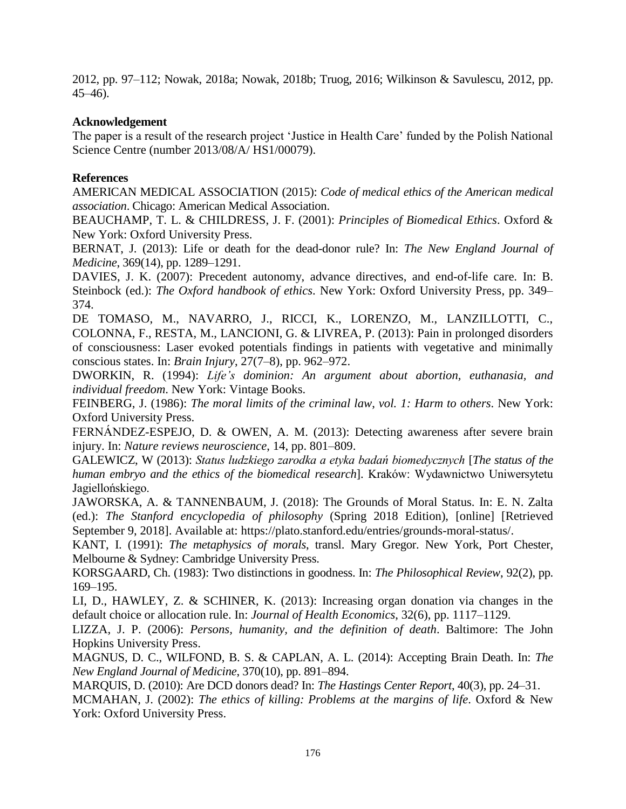2012, pp. 97–112; Nowak, 2018a; Nowak, 2018b; Truog, 2016; Wilkinson & Savulescu, 2012, pp. 45–46).

# **Acknowledgement**

The paper is a result of the research project 'Justice in Health Care' funded by the Polish National Science Centre (number 2013/08/A/ HS1/00079).

# **References**

AMERICAN MEDICAL ASSOCIATION (2015): *Code of medical ethics of the American medical association*. Chicago: American Medical Association.

BEAUCHAMP, T. L. & CHILDRESS, J. F. (2001): *Principles of Biomedical Ethics*. Oxford & New York: Oxford University Press.

BERNAT, J. (2013): Life or death for the dead-donor rule? In: *The New England Journal of Medicine*, 369(14), pp. 1289–1291.

DAVIES, J. K. (2007): Precedent autonomy, advance directives, and end-of-life care. In: B. Steinbock (ed.): *The Oxford handbook of ethics*. New York: Oxford University Press, pp. 349– 374.

DE TOMASO, M., NAVARRO, J., RICCI, K., LORENZO, M., LANZILLOTTI, C., COLONNA, F., RESTA, M., LANCIONI, G. & LIVREA, P. (2013): Pain in prolonged disorders of consciousness: Laser evoked potentials findings in patients with vegetative and minimally conscious states. In: *Brain Injury*, 27(7–8), pp. 962–972.

DWORKIN, R. (1994): *Life's dominion: An argument about abortion, euthanasia, and individual freedom*. New York: Vintage Books.

FEINBERG, J. (1986): *The moral limits of the criminal law*, *vol. 1: Harm to others*. New York: Oxford University Press.

FERNÁNDEZ-ESPEJO, D. & OWEN, A. M. (2013): Detecting awareness after severe brain injury. In: *Nature reviews neuroscience*, 14, pp. 801–809.

GALEWICZ, W (2013): *Status ludzkiego zarodka a etyka badań biomedycznych* [*The status of the human embryo and the ethics of the biomedical research*]. Kraków: Wydawnictwo Uniwersytetu Jagiellońskiego.

JAWORSKA, A. & TANNENBAUM, J. (2018): The Grounds of Moral Status. In: E. N. Zalta (ed.): *The Stanford encyclopedia of philosophy* (Spring 2018 Edition), [online] [Retrieved September 9, 2018]. Available at: https://plato.stanford.edu/entries/grounds-moral-status/.

KANT, I. (1991): *The metaphysics of morals*, transl. Mary Gregor. New York, Port Chester, Melbourne & Sydney: Cambridge University Press.

KORSGAARD, Ch. (1983): Two distinctions in goodness. In: *The Philosophical Review*, 92(2), pp. 169–195.

LI, D., HAWLEY, Z. & SCHINER, K. (2013): Increasing organ donation via changes in the default choice or allocation rule. In: *Journal of Health Economics*, 32(6), pp. 1117–1129.

LIZZA, J. P. (2006): *Persons, humanity, and the definition of death*. Baltimore: The John Hopkins University Press.

MAGNUS, D. C., WILFOND, B. S. & CAPLAN, A. L. (2014): Accepting Brain Death. In: *The New England Journal of Medicine*, 370(10), pp. 891–894.

MARQUIS, D. (2010): Are DCD donors dead? In: *The Hastings Center Report*, 40(3), pp. 24–31.

MCMAHAN, J. (2002): *The ethics of killing: Problems at the margins of life*. Oxford & New York: Oxford University Press.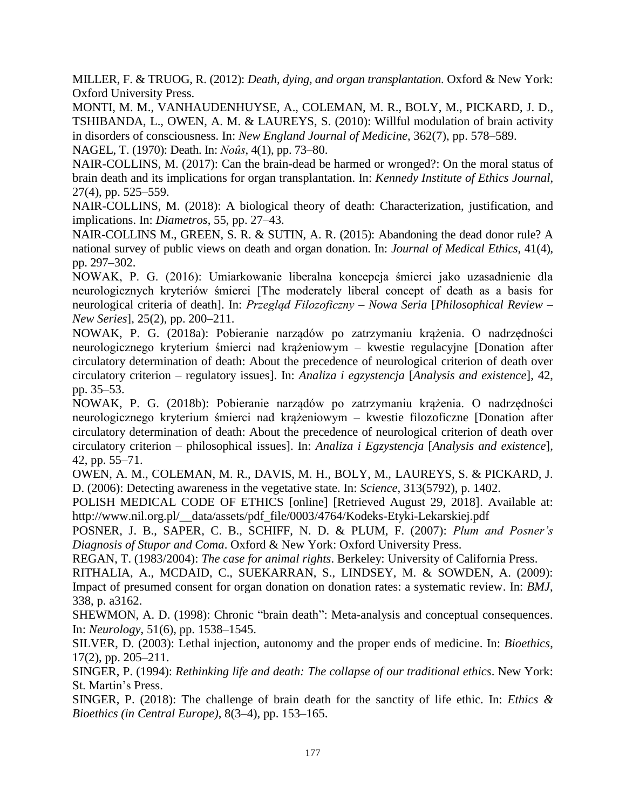MILLER, F. & TRUOG, R. (2012): *Death, dying, and organ transplantation*. Oxford & New York: Oxford University Press.

MONTI, M. M., VANHAUDENHUYSE, A., COLEMAN, M. R., BOLY, M., PICKARD, J. D., TSHIBANDA, L., OWEN, A. M. & LAUREYS, S. (2010): Willful modulation of brain activity in disorders of consciousness. In: *New England Journal of Medicine*, 362(7), pp. 578–589. NAGEL, T. (1970): Death. In: *Noûs*, 4(1), pp. 73–80.

NAIR-COLLINS, M. (2017): Can the brain-dead be harmed or wronged?: On the moral status of brain death and its implications for organ transplantation. In: *Kennedy Institute of Ethics Journal*, 27(4), pp. 525–559.

NAIR-COLLINS, M. (2018): A biological theory of death: Characterization, justification, and implications. In: *Diametros*, 55, pp. 27–43.

NAIR-COLLINS M., GREEN, S. R. & SUTIN, A. R. (2015): Abandoning the dead donor rule? A national survey of public views on death and organ donation. In: *Journal of Medical Ethics*, 41(4), pp. 297–302.

NOWAK, P. G. (2016): Umiarkowanie liberalna koncepcja śmierci jako uzasadnienie dla neurologicznych kryteriów śmierci [The moderately liberal concept of death as a basis for neurological criteria of death]. In: *Przegląd Filozoficzny – Nowa Seria* [*Philosophical Review – New Series*], 25(2), pp. 200–211.

NOWAK, P. G. (2018a): Pobieranie narządów po zatrzymaniu krążenia. O nadrzędności neurologicznego kryterium śmierci nad krążeniowym – kwestie regulacyjne [Donation after circulatory determination of death: About the precedence of neurological criterion of death over circulatory criterion – regulatory issues]. In: *Analiza i egzystencja* [*Analysis and existence*], 42, pp. 35–53.

NOWAK, P. G. (2018b): Pobieranie narządów po zatrzymaniu krążenia. O nadrzędności neurologicznego kryterium śmierci nad krążeniowym – kwestie filozoficzne [Donation after circulatory determination of death: About the precedence of neurological criterion of death over circulatory criterion – philosophical issues]. In: *Analiza i Egzystencja* [*Analysis and existence*], 42, pp. 55–71.

OWEN, A. M., COLEMAN, M. R., DAVIS, M. H., BOLY, M., LAUREYS, S. & PICKARD, J. D. (2006): Detecting awareness in the vegetative state. In: *Science*, 313(5792), p. 1402.

POLISH MEDICAL CODE OF ETHICS [online] [Retrieved August 29, 2018]. Available at: http://www.nil.org.pl/\_\_data/assets/pdf\_file/0003/4764/Kodeks-Etyki-Lekarskiej.pdf

POSNER, J. B., SAPER, C. B., SCHIFF, N. D. & PLUM, F. (2007): *Plum and Posner's Diagnosis of Stupor and Coma*. Oxford & New York: Oxford University Press.

REGAN, T. (1983/2004): *The case for animal rights*. Berkeley: University of California Press.

RITHALIA, A., MCDAID, C., SUEKARRAN, S., LINDSEY, M. & SOWDEN, A. (2009): Impact of presumed consent for organ donation on donation rates: a systematic review. In: *BMJ*, 338, p. a3162.

SHEWMON, A. D. (1998): Chronic "brain death": Meta-analysis and conceptual consequences. In: *Neurology*, 51(6), pp. 1538–1545.

SILVER, D. (2003): Lethal injection, autonomy and the proper ends of medicine. In: *Bioethics*, 17(2), pp. 205–211.

SINGER, P. (1994): *Rethinking life and death: The collapse of our traditional ethics*. New York: St. Martin's Press.

SINGER, P. (2018): The challenge of brain death for the sanctity of life ethic. In: *Ethics & Bioethics (in Central Europe)*, 8(3–4), pp. 153–165.